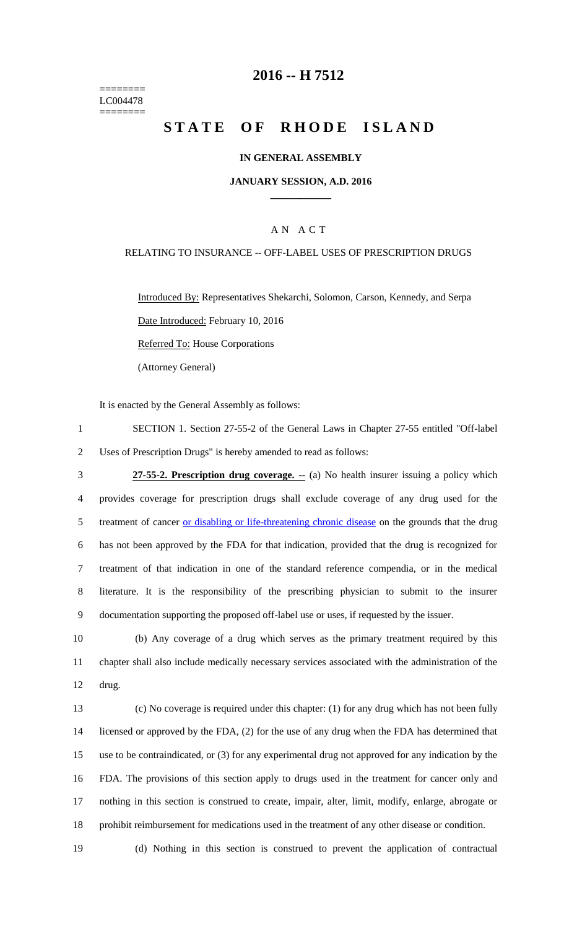======== LC004478 ========

## **2016 -- H 7512**

# **STATE OF RHODE ISLAND**

### **IN GENERAL ASSEMBLY**

#### **JANUARY SESSION, A.D. 2016 \_\_\_\_\_\_\_\_\_\_\_\_**

## A N A C T

#### RELATING TO INSURANCE -- OFF-LABEL USES OF PRESCRIPTION DRUGS

Introduced By: Representatives Shekarchi, Solomon, Carson, Kennedy, and Serpa Date Introduced: February 10, 2016 Referred To: House Corporations

(Attorney General)

It is enacted by the General Assembly as follows:

1 SECTION 1. Section 27-55-2 of the General Laws in Chapter 27-55 entitled "Off-label 2 Uses of Prescription Drugs" is hereby amended to read as follows:

 **27-55-2. Prescription drug coverage. --** (a) No health insurer issuing a policy which provides coverage for prescription drugs shall exclude coverage of any drug used for the 5 treatment of cancer or disabling or life-threatening chronic disease on the grounds that the drug has not been approved by the FDA for that indication, provided that the drug is recognized for treatment of that indication in one of the standard reference compendia, or in the medical literature. It is the responsibility of the prescribing physician to submit to the insurer documentation supporting the proposed off-label use or uses, if requested by the issuer.

10 (b) Any coverage of a drug which serves as the primary treatment required by this 11 chapter shall also include medically necessary services associated with the administration of the 12 drug.

 (c) No coverage is required under this chapter: (1) for any drug which has not been fully licensed or approved by the FDA, (2) for the use of any drug when the FDA has determined that use to be contraindicated, or (3) for any experimental drug not approved for any indication by the FDA. The provisions of this section apply to drugs used in the treatment for cancer only and nothing in this section is construed to create, impair, alter, limit, modify, enlarge, abrogate or prohibit reimbursement for medications used in the treatment of any other disease or condition.

19 (d) Nothing in this section is construed to prevent the application of contractual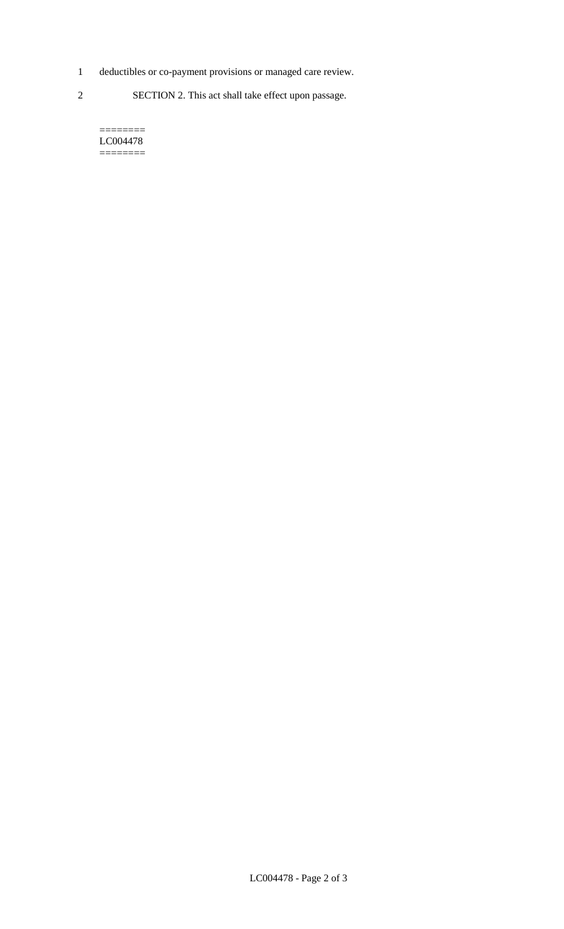- 1 deductibles or co-payment provisions or managed care review.
- 2 SECTION 2. This act shall take effect upon passage.

======== LC004478 ========